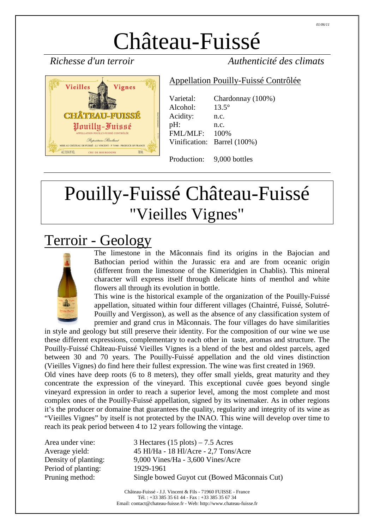# Château-Fuissé



750 MI

*Richesse d'un terroir Authenticité des climats* 

#### Appellation Pouilly-Fuissé Contrôlée

Varietal: Chardonnay (100%) Alcohol: 13.5° Acidity: n.c.  $pH:$  n.c. FML/MLF: 100% Vinification: Barrel (100%)

Production: 9,000 bottles

# Pouilly-Fuissé Château-Fuissé "Vieilles Vignes"

# Terroir - Geology

CRU DE BOURGOGNE



ALC 13.5% BY VOL.

The limestone in the Mâconnais find its origins in the Bajocian and Bathocian period within the Jurassic era and are from oceanic origin (different from the limestone of the Kimeridgien in Chablis). This mineral character will express itself through delicate hints of menthol and white flowers all through its evolution in bottle.

This wine is the historical example of the organization of the Pouilly-Fuissé appellation, situated within four different villages (Chaintré, Fuissé, Solutré-Pouilly and Vergisson), as well as the absence of any classification system of premier and grand crus in Mâconnais. The four villages do have similarities

in style and geology but still preserve their identity. For the composition of our wine we use these different expressions, complementary to each other in taste, aromas and structure. The Pouilly-Fuissé Château-Fuissé Vieilles Vignes is a blend of the best and oldest parcels, aged between 30 and 70 years. The Pouilly-Fuissé appellation and the old vines distinction (Vieilles Vignes) do find here their fullest expression. The wine was first created in 1969. Old vines have deep roots (6 to 8 meters), they offer small yields, great maturity and they concentrate the expression of the vineyard. This exceptional cuvée goes beyond single vineyard expression in order to reach a superior level, among the most complete and most complex ones of the Pouilly-Fuissé appellation, signed by its winemaker. As in other regions it's the producer or domaine that guarantees the quality, regularity and integrity of its wine as "Vieilles Vignes" by itself is not protected by the INAO. This wine will develop over time to reach its peak period between 4 to 12 years following the vintage.

Period of planting: 1929-1961

Area under vine: 3 Hectares (15 plots) – 7.5 Acres Average yield: 45 Hl/Ha - 18 Hl/Acre - 2,7 Tons/Acre Density of planting: 9,000 Vines/Ha - 3,600 Vines/Acre Pruning method: Single bowed Guyot cut (Bowed Mâconnais Cut)